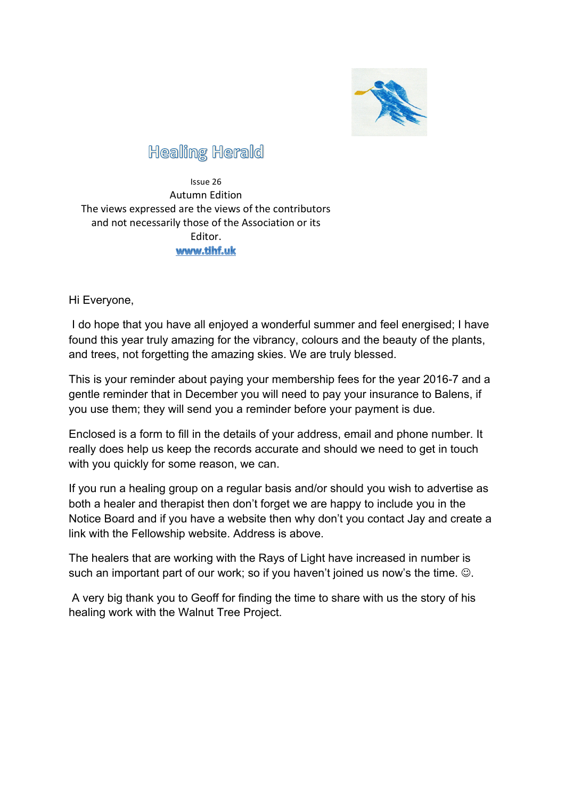

## **Healing Herald**

Issue 26 Autumn Edition The views expressed are the views of the contributors and not necessarily those of the Association or its Editor.www.tihf.uk

Hi Everyone,

I do hope that you have all enjoyed a wonderful summer and feel energised; I have found this year truly amazing for the vibrancy, colours and the beauty of the plants, and trees, not forgetting the amazing skies. We are truly blessed.

This is your reminder about paying your membership fees for the year 2016-7 and a gentle reminder that in December you will need to pay your insurance to Balens, if you use them; they will send you a reminder before your payment is due.

Enclosed is a form to fill in the details of your address, email and phone number. It really does help us keep the records accurate and should we need to get in touch with you quickly for some reason, we can.

If you run a healing group on a regular basis and/or should you wish to advertise as both a healer and therapist then don't forget we are happy to include you in the Notice Board and if you have a website then why don't you contact Jay and create a link with the Fellowship website. Address is above.

The healers that are working with the Rays of Light have increased in number is such an important part of our work; so if you haven't joined us now's the time.  $\odot$ .

A very big thank you to Geoff for finding the time to share with us the story of his healing work with the Walnut Tree Project.